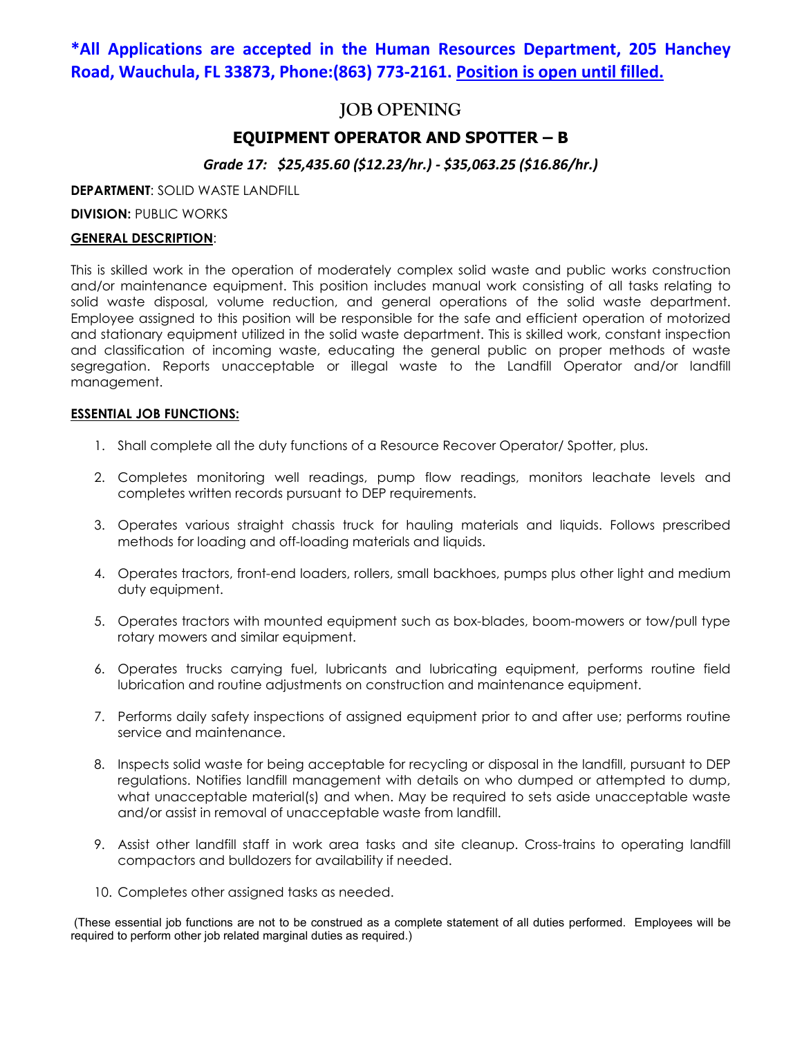## **\*All Applications are accepted in the Human Resources Department, 205 Hanchey Road, Wauchula, FL 33873, Phone:(863) 773-2161. Position is open until filled.**

### **JOB OPENING**

### **EQUIPMENT OPERATOR AND SPOTTER – B**

*Grade 17: \$25,435.60 (\$12.23/hr.) - \$35,063.25 (\$16.86/hr.)* 

**DEPARTMENT**: SOLID WASTE LANDFILL

**DIVISION: PUBLIC WORKS** 

#### **GENERAL DESCRIPTION**:

This is skilled work in the operation of moderately complex solid waste and public works construction and/or maintenance equipment. This position includes manual work consisting of all tasks relating to solid waste disposal, volume reduction, and general operations of the solid waste department. Employee assigned to this position will be responsible for the safe and efficient operation of motorized and stationary equipment utilized in the solid waste department. This is skilled work, constant inspection and classification of incoming waste, educating the general public on proper methods of waste segregation. Reports unacceptable or illegal waste to the Landfill Operator and/or landfill management.

#### **ESSENTIAL JOB FUNCTIONS:**

- 1. Shall complete all the duty functions of a Resource Recover Operator/ Spotter, plus.
- 2. Completes monitoring well readings, pump flow readings, monitors leachate levels and completes written records pursuant to DEP requirements.
- 3. Operates various straight chassis truck for hauling materials and liquids. Follows prescribed methods for loading and off-loading materials and liquids.
- 4. Operates tractors, front-end loaders, rollers, small backhoes, pumps plus other light and medium duty equipment.
- 5. Operates tractors with mounted equipment such as box-blades, boom-mowers or tow/pull type rotary mowers and similar equipment.
- 6. Operates trucks carrying fuel, lubricants and lubricating equipment, performs routine field lubrication and routine adjustments on construction and maintenance equipment.
- 7. Performs daily safety inspections of assigned equipment prior to and after use; performs routine service and maintenance.
- 8. Inspects solid waste for being acceptable for recycling or disposal in the landfill, pursuant to DEP regulations. Notifies landfill management with details on who dumped or attempted to dump, what unacceptable material(s) and when. May be required to sets aside unacceptable waste and/or assist in removal of unacceptable waste from landfill.
- 9. Assist other landfill staff in work area tasks and site cleanup. Cross-trains to operating landfill compactors and bulldozers for availability if needed.
- 10. Completes other assigned tasks as needed.

(These essential job functions are not to be construed as a complete statement of all duties performed. Employees will be required to perform other job related marginal duties as required.)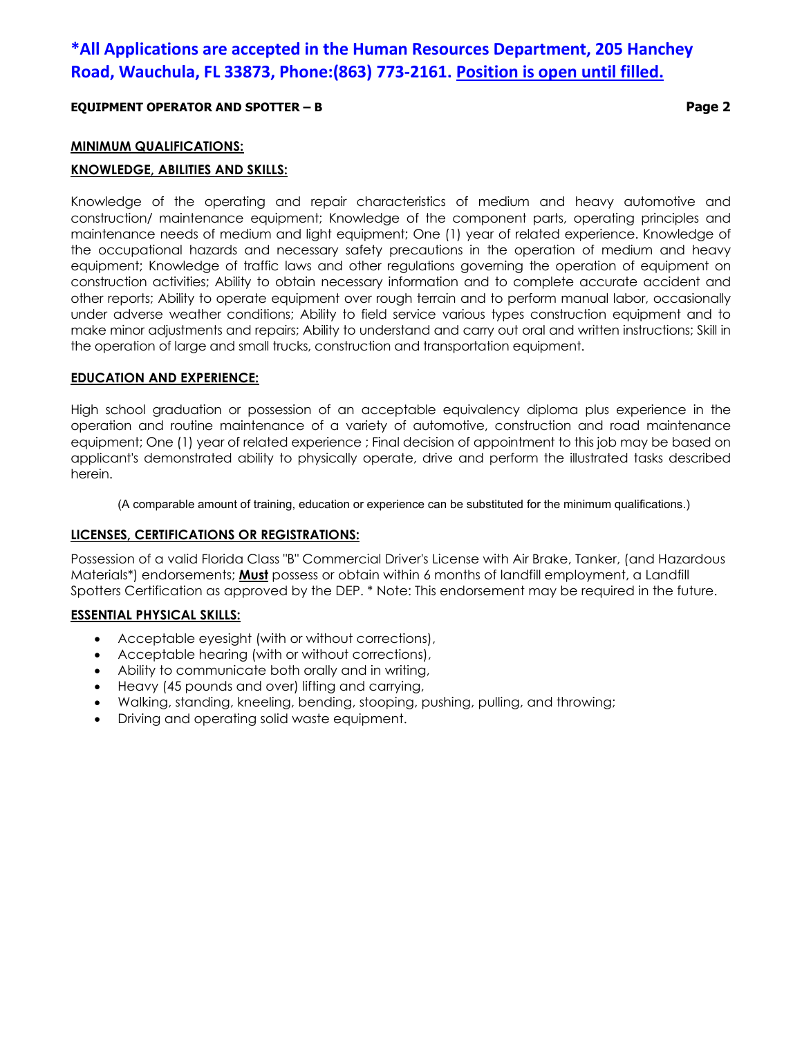# **\*All Applications are accepted in the Human Resources Department, 205 Hanchey Road, Wauchula, FL 33873, Phone:(863) 773-2161. Position is open until filled.**

#### **EQUIPMENT OPERATOR AND SPOTTER – B Page 2**

#### **MINIMUM QUALIFICATIONS:**

#### **KNOWLEDGE, ABILITIES AND SKILLS:**

Knowledge of the operating and repair characteristics of medium and heavy automotive and construction/ maintenance equipment; Knowledge of the component parts, operating principles and maintenance needs of medium and light equipment; One (1) year of related experience. Knowledge of the occupational hazards and necessary safety precautions in the operation of medium and heavy equipment; Knowledge of traffic laws and other regulations governing the operation of equipment on construction activities; Ability to obtain necessary information and to complete accurate accident and other reports; Ability to operate equipment over rough terrain and to perform manual labor, occasionally under adverse weather conditions; Ability to field service various types construction equipment and to make minor adjustments and repairs; Ability to understand and carry out oral and written instructions; Skill in the operation of large and small trucks, construction and transportation equipment.

#### **EDUCATION AND EXPERIENCE:**

High school graduation or possession of an acceptable equivalency diploma plus experience in the operation and routine maintenance of a variety of automotive, construction and road maintenance equipment; One (1) year of related experience ; Final decision of appointment to this job may be based on applicant's demonstrated ability to physically operate, drive and perform the illustrated tasks described herein.

(A comparable amount of training, education or experience can be substituted for the minimum qualifications.)

#### **LICENSES, CERTIFICATIONS OR REGISTRATIONS:**

Possession of a valid Florida Class "B" Commercial Driver's License with Air Brake, Tanker, (and Hazardous Materials\*) endorsements; **Must** possess or obtain within 6 months of landfill employment, a Landfill Spotters Certification as approved by the DEP. \* Note: This endorsement may be required in the future.

#### **ESSENTIAL PHYSICAL SKILLS:**

- Acceptable eyesight (with or without corrections),
- Acceptable hearing (with or without corrections),
- Ability to communicate both orally and in writing,
- Heavy (45 pounds and over) lifting and carrying,
- Walking, standing, kneeling, bending, stooping, pushing, pulling, and throwing;
- Driving and operating solid waste equipment.